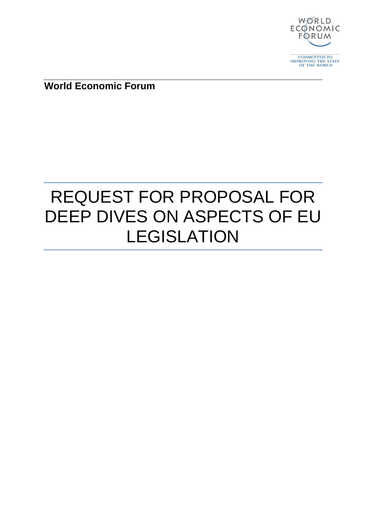

**World Economic Forum**

# REQUEST FOR PROPOSAL FOR DEEP DIVES ON ASPECTS OF EU LEGISLATION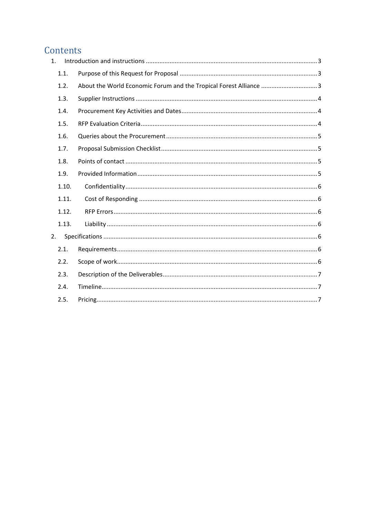# Contents

| $\mathbf{1}$ . |                                                                   |
|----------------|-------------------------------------------------------------------|
| 1.1.           |                                                                   |
| 1.2.           | About the World Economic Forum and the Tropical Forest Alliance 3 |
| 1.3.           |                                                                   |
| 1.4.           |                                                                   |
| 1.5.           |                                                                   |
| 1.6.           |                                                                   |
| 1.7.           |                                                                   |
| 1.8.           |                                                                   |
| 1.9.           |                                                                   |
| 1.10.          |                                                                   |
| 1.11.          |                                                                   |
| 1.12.          |                                                                   |
| 1.13.          |                                                                   |
| 2.             |                                                                   |
| 2.1.           |                                                                   |
| 2.2.           |                                                                   |
| 2.3.           |                                                                   |
| 2.4.           |                                                                   |
| 2.5.           |                                                                   |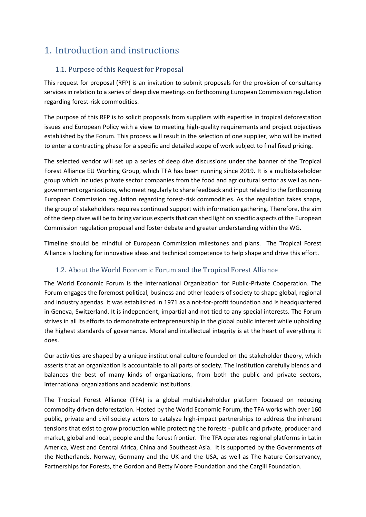# <span id="page-2-0"></span>1. Introduction and instructions

# <span id="page-2-1"></span>1.1. Purpose of this Request for Proposal

<span id="page-2-2"></span>This request for proposal (RFP) is an invitation to submit proposals for the provision of consultancy services in relation to a series of deep dive meetings on forthcoming European Commission regulation regarding forest-risk commodities.

The purpose of this RFP is to solicit proposals from suppliers with expertise in tropical deforestation issues and European Policy with a view to meeting high-quality requirements and project objectives established by the Forum. This process will result in the selection of one supplier, who will be invited to enter a contracting phase for a specific and detailed scope of work subject to final fixed pricing.

The selected vendor will set up a series of deep dive discussions under the banner of the Tropical Forest Alliance EU Working Group, which TFA has been running since 2019. It is a multistakeholder group which includes private sector companies from the food and agricultural sector as well as nongovernment organizations, who meet regularly to share feedback and input related to the forthcoming European Commission regulation regarding forest-risk commodities. As the regulation takes shape, the group of stakeholders requires continued support with information gathering. Therefore, the aim of the deep dives will be to bring various experts that can shed light on specific aspects of the European Commission regulation proposal and foster debate and greater understanding within the WG.

Timeline should be mindful of European Commission milestones and plans. The Tropical Forest Alliance is looking for innovative ideas and technical competence to help shape and drive this effort.

# 1.2. About the World Economic Forum and the Tropical Forest Alliance

The World Economic Forum is the International Organization for Public-Private Cooperation. The Forum engages the foremost political, business and other leaders of society to shape global, regional and industry agendas. It was established in 1971 as a not-for-profit foundation and is headquartered in Geneva, Switzerland. It is independent, impartial and not tied to any special interests. The Forum strives in all its efforts to demonstrate entrepreneurship in the global public interest while upholding the highest standards of governance. Moral and intellectual integrity is at the heart of everything it does.

Our activities are shaped by a unique institutional culture founded on the stakeholder theory, which asserts that an organization is accountable to all parts of society. The institution carefully blends and balances the best of many kinds of organizations, from both the public and private sectors, international organizations and academic institutions.

The Tropical Forest Alliance (TFA) is a global multistakeholder platform focused on reducing commodity driven deforestation. Hosted by the World Economic Forum, the TFA works with over 160 public, private and civil society actors to catalyze high-impact partnerships to address the inherent tensions that exist to grow production while protecting the forests - public and private, producer and market, global and local, people and the forest frontier. The TFA operates regional platforms in Latin America, West and Central Africa, China and Southeast Asia. It is supported by the Governments of the Netherlands, Norway, Germany and the UK and the USA, as well as The Nature Conservancy, Partnerships for Forests, the Gordon and Betty Moore Foundation and the Cargill Foundation.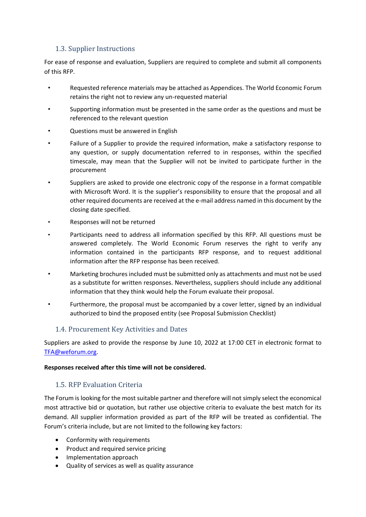## <span id="page-3-0"></span>1.3. Supplier Instructions

For ease of response and evaluation, Suppliers are required to complete and submit all components of this RFP.

- Requested reference materials may be attached as Appendices. The World Economic Forum retains the right not to review any un-requested material
- Supporting information must be presented in the same order as the questions and must be referenced to the relevant question
- Questions must be answered in English
- Failure of a Supplier to provide the required information, make a satisfactory response to any question, or supply documentation referred to in responses, within the specified timescale, may mean that the Supplier will not be invited to participate further in the procurement
- Suppliers are asked to provide one electronic copy of the response in a format compatible with Microsoft Word. It is the supplier's responsibility to ensure that the proposal and all other required documents are received at the e-mail address named in this document by the closing date specified.
- Responses will not be returned
- Participants need to address all information specified by this RFP. All questions must be answered completely. The World Economic Forum reserves the right to verify any information contained in the participants RFP response, and to request additional information after the RFP response has been received.
- Marketing brochures included must be submitted only as attachments and must not be used as a substitute for written responses. Nevertheless, suppliers should include any additional information that they think would help the Forum evaluate their proposal.
- Furthermore, the proposal must be accompanied by a cover letter, signed by an individual authorized to bind the proposed entity (see Proposal Submission Checklist)

#### <span id="page-3-1"></span>1.4. Procurement Key Activities and Dates

Suppliers are asked to provide the response by June 10, 2022 at 17:00 CET in electronic format to [TFA@weforum.org.](mailto:TFA@weforum.org)

#### **Responses received after this time will not be considered.**

#### <span id="page-3-2"></span>1.5. RFP Evaluation Criteria

The Forum is looking for the most suitable partner and therefore will not simply select the economical most attractive bid or quotation, but rather use objective criteria to evaluate the best match for its demand. All supplier information provided as part of the RFP will be treated as confidential. The Forum's criteria include, but are not limited to the following key factors:

- Conformity with requirements
- Product and required service pricing
- Implementation approach
- Quality of services as well as quality assurance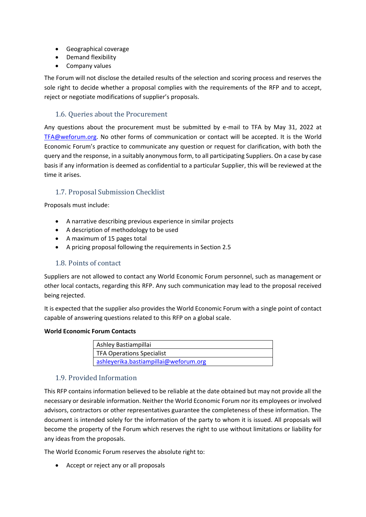- Geographical coverage
- Demand flexibility
- Company values

The Forum will not disclose the detailed results of the selection and scoring process and reserves the sole right to decide whether a proposal complies with the requirements of the RFP and to accept, reject or negotiate modifications of supplier's proposals.

# <span id="page-4-0"></span>1.6. Queries about the Procurement

Any questions about the procurement must be submitted by e-mail to TFA by May 31, 2022 at [TFA@weforum.org.](mailto:TFA@weforum.org) No other forms of communication or contact will be accepted. It is the World Economic Forum's practice to communicate any question or request for clarification, with both the query and the response, in a suitably anonymous form, to all participating Suppliers. On a case by case basis if any information is deemed as confidential to a particular Supplier, this will be reviewed at the time it arises.

# <span id="page-4-1"></span>1.7. Proposal Submission Checklist

Proposals must include:

- A narrative describing previous experience in similar projects
- A description of methodology to be used
- A maximum of 15 pages total
- A pricing proposal following the requirements in Section [2.5](#page-6-2)

#### <span id="page-4-2"></span>1.8. Points of contact

Suppliers are not allowed to contact any World Economic Forum personnel, such as management or other local contacts, regarding this RFP. Any such communication may lead to the proposal received being rejected.

It is expected that the supplier also provides the World Economic Forum with a single point of contact capable of answering questions related to this RFP on a global scale.

#### **World Economic Forum Contacts**

| Ashley Bastiampillai                  |
|---------------------------------------|
| <b>TFA Operations Specialist</b>      |
| ashleyerika.bastiampillai@weforum.org |

#### <span id="page-4-3"></span>1.9. Provided Information

This RFP contains information believed to be reliable at the date obtained but may not provide all the necessary or desirable information. Neither the World Economic Forum nor its employees or involved advisors, contractors or other representatives guarantee the completeness of these information. The document is intended solely for the information of the party to whom it is issued. All proposals will become the property of the Forum which reserves the right to use without limitations or liability for any ideas from the proposals.

The World Economic Forum reserves the absolute right to:

• Accept or reject any or all proposals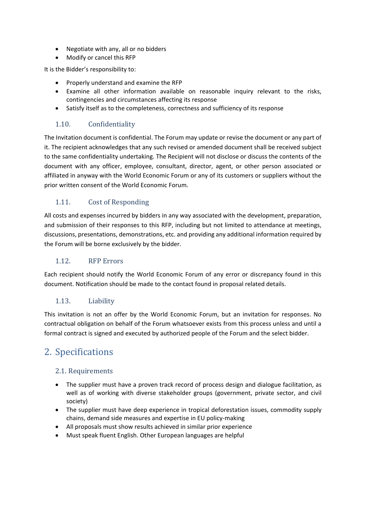- Negotiate with any, all or no bidders
- Modify or cancel this RFP

It is the Bidder's responsibility to:

- Properly understand and examine the RFP
- Examine all other information available on reasonable inquiry relevant to the risks, contingencies and circumstances affecting its response
- Satisfy itself as to the completeness, correctness and sufficiency of its response

## <span id="page-5-0"></span>1.10. Confidentiality

The Invitation document is confidential. The Forum may update or revise the document or any part of it. The recipient acknowledges that any such revised or amended document shall be received subject to the same confidentiality undertaking. The Recipient will not disclose or discuss the contents of the document with any officer, employee, consultant, director, agent, or other person associated or affiliated in anyway with the World Economic Forum or any of its customers or suppliers without the prior written consent of the World Economic Forum.

#### <span id="page-5-1"></span>1.11. Cost of Responding

All costs and expenses incurred by bidders in any way associated with the development, preparation, and submission of their responses to this RFP, including but not limited to attendance at meetings, discussions, presentations, demonstrations, etc. and providing any additional information required by the Forum will be borne exclusively by the bidder.

#### <span id="page-5-2"></span>1.12. RFP Errors

Each recipient should notify the World Economic Forum of any error or discrepancy found in this document. Notification should be made to the contact found in proposal related details.

#### <span id="page-5-3"></span>1.13. Liability

This invitation is not an offer by the World Economic Forum, but an invitation for responses. No contractual obligation on behalf of the Forum whatsoever exists from this process unless and until a formal contract is signed and executed by authorized people of the Forum and the select bidder.

# <span id="page-5-4"></span>2. Specifications

#### <span id="page-5-5"></span>2.1. Requirements

- <span id="page-5-6"></span>• The supplier must have a proven track record of process design and dialogue facilitation, as well as of working with diverse stakeholder groups (government, private sector, and civil society)
- The supplier must have deep experience in tropical deforestation issues, commodity supply chains, demand side measures and expertise in EU policy-making
- All proposals must show results achieved in similar prior experience
- Must speak fluent English. Other European languages are helpful